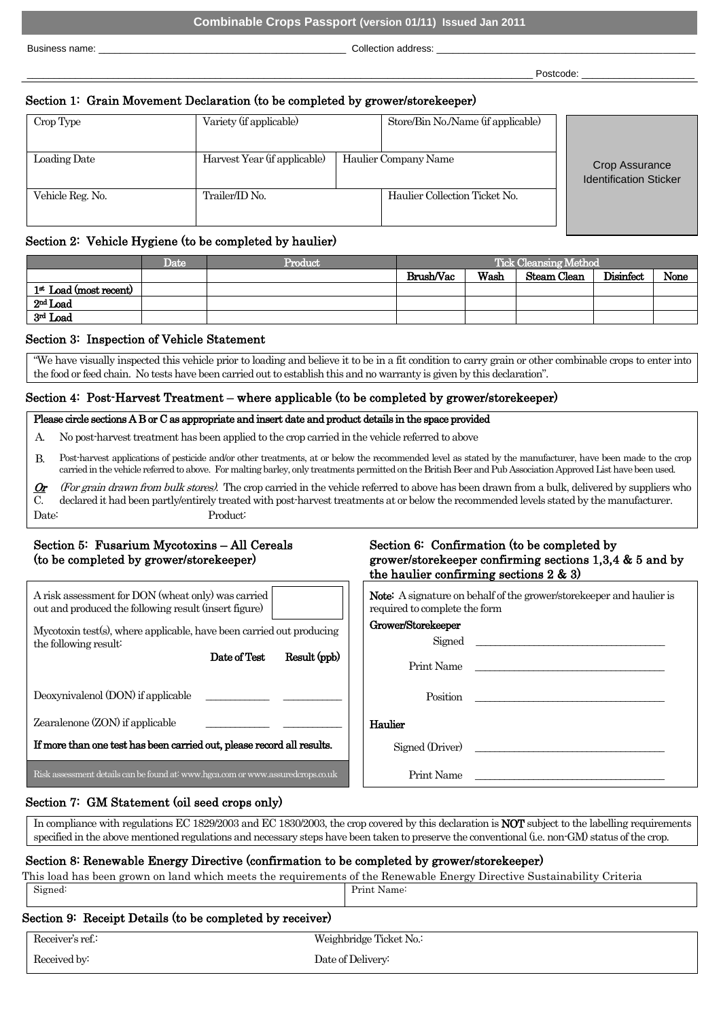Business name: <br>
Business name: <br>
Collection address:

\_\_\_\_\_\_\_\_\_\_\_\_\_\_\_\_\_\_\_\_\_\_\_\_\_\_\_\_\_\_\_\_\_\_\_\_\_\_\_\_\_\_\_\_\_\_\_\_\_\_\_\_\_\_\_\_\_\_\_\_\_\_\_\_\_\_\_\_\_\_\_\_\_\_\_\_\_\_\_\_\_\_\_\_\_\_\_\_\_\_\_\_\_\_ Postcode: \_\_\_\_\_\_\_\_\_\_\_\_\_\_\_\_\_\_\_\_\_

# Section 1: Grain Movement Declaration (to be completed by grower/storekeeper)

| Crop Type        | Variety (if applicable)                              |  | Store/Bin No./Name (if applicable) |                                                 |  |  |
|------------------|------------------------------------------------------|--|------------------------------------|-------------------------------------------------|--|--|
| Loading Date     | Harvest Year (if applicable)<br>Haulier Company Name |  |                                    | Crop Assurance<br><b>Identification Sticker</b> |  |  |
| Vehicle Reg. No. | Trailer/ID No.                                       |  | Haulier Collection Ticket No.      |                                                 |  |  |

### Section 2: Vehicle Hygiene (to be completed by haulier)

|                          | Date | Product | <b>Tick Cleansing Method</b> |      |             |           |      |
|--------------------------|------|---------|------------------------------|------|-------------|-----------|------|
|                          |      |         | Brush/Vac                    | Wash | Steam Clean | Disinfect | None |
| $1st$ Load (most recent) |      |         |                              |      |             |           |      |
| $2nd$ Load               |      |         |                              |      |             |           |      |
| 3rd Load                 |      |         |                              |      |             |           |      |

### Section 3: Inspection of Vehicle Statement

"We have visually inspected this vehicle prior to loading and believe it to be in a fit condition to carry grain or other combinable crops to enter into the food or feed chain. No tests have been carried out to establish this and no warranty is given by this declaration".

## Section 4: Post-Harvest Treatment – where applicable (to be completed by grower/storekeeper)

### Please circle sections A B or C as appropriate and insert date and product details in the space provided

- A. No post-harvest treatment has been applied to the crop carried in the vehicle referred to above
- B. Post-harvest applications of pesticide and/or other treatments, at or below the recommended level as stated by the manufacturer, have been made to the crop carried in the vehicle referred to above. For malting barley, only treatments permitted on the British Beer and Pub Association Approved List have been used.
- Or C. (For grain drawn from bulk stores). The crop carried in the vehicle referred to above has been drawn from a bulk, delivered by suppliers who declared it had been partly/entirely treated with post-harvest treatments at or below the recommended levels stated by the manufacturer. Date: Product:

# Section 5: Fusarium Mycotoxins – All Cereals (to be completed by grower/storekeeper)

| A risk assessment for DON (wheat only) was carried  <br>out and produced the following result (insert figure) |              |
|---------------------------------------------------------------------------------------------------------------|--------------|
| Mycotoxin test(s), where applicable, have been carried out producing<br>the following result:<br>Date of Test | Result (ppb) |

Deoxynivalenol (DON) if applicable

Zearalenone (ZON) if applicable

If more than one test has been carried out, please record all results.  $\Box$   $\Box$  Signed (Driver)

Risk assessment details can be found at: www.hgca.com or www.assuredcrops.co.uk Print Name

\_\_\_\_\_\_\_\_\_\_\_\_\_

 $\overline{\phantom{a}}$ 

# Section 6: Confirmation (to be completed by grower/storekeeper confirming sections 1,3,4 & 5 and by the haulier confirming sections  $2 \& 3$ )

|  | <b>Note:</b> A signature on behalf of the grower/store keeper and haulier is |  |  |
|--|------------------------------------------------------------------------------|--|--|
|  | required to complete the form                                                |  |  |

#### Grower/Storekeeper

Signed

Print Name

Position

\_\_\_\_\_\_\_\_\_\_\_\_ Haulier

# Section 7: GM Statement (oil seed crops only)

In compliance with regulations EC 1829/2003 and EC 1830/2003, the crop covered by this declaration is NOT subject to the labelling requirements specified in the above mentioned regulations and necessary steps have been taken to preserve the conventional (i.e. non-GM) status of the crop.

# Section 8: Renewable Energy Directive (confirmation to be completed by grower/storekeeper)

This load has been grown on land which meets the requirements of the Renewable Energy Directive Sustainability Criteria Signed: Print Name:

# Section 9: Receipt Details (to be completed by receiver)

| Receiver's ref.: | Weighbridge Ticket No.: |  |
|------------------|-------------------------|--|
| Received by:     | Date of Delivery:       |  |